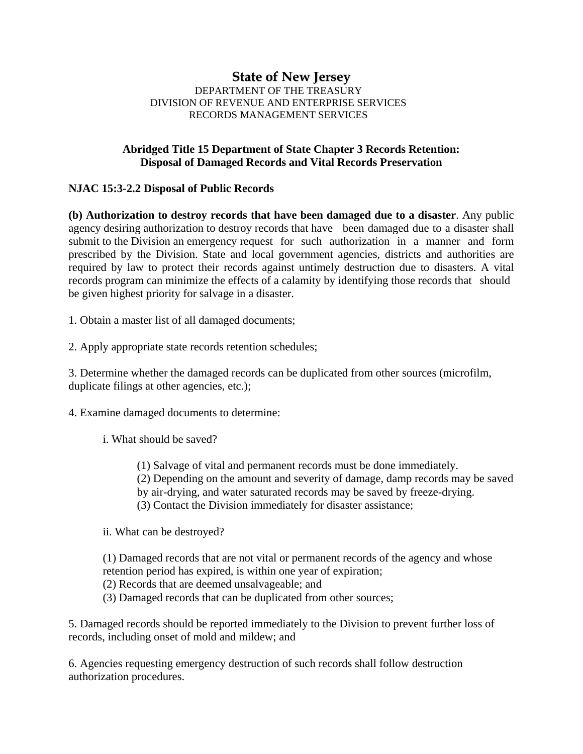## **State of New Jersey** DEPARTMENT OF THE TREASURY DIVISION OF REVENUE AND ENTERPRISE SERVICES RECORDS MANAGEMENT SERVICES

## **Abridged Title 15 Department of State Chapter 3 Records Retention: Disposal of Damaged Records and Vital Records Preservation**

## **NJAC 15:3-2.2 Disposal of Public Records**

**(b) Authorization to destroy records that have been damaged due to a disaster**. Any public agency desiring authorization to destroy records that have been damaged due to a disaster shall submit to the Division an emergency request for such authorization in a manner and form prescribed by the Division. State and local government agencies, districts and authorities are required by law to protect their records against untimely destruction due to disasters. A vital records program can minimize the effects of a calamity by identifying those records that should be given highest priority for salvage in a disaster.

1. Obtain a master list of all damaged documents;

2. Apply appropriate state records retention schedules;

3. Determine whether the damaged records can be duplicated from other sources (microfilm, duplicate filings at other agencies, etc.);

4. Examine damaged documents to determine:

i. What should be saved?

(1) Salvage of vital and permanent records must be done immediately.

(2) Depending on the amount and severity of damage, damp records may be saved

by air-drying, and water saturated records may be saved by freeze-drying.

(3) Contact the Division immediately for disaster assistance;

ii. What can be destroyed?

(1) Damaged records that are not vital or permanent records of the agency and whose retention period has expired, is within one year of expiration;

(2) Records that are deemed unsalvageable; and

(3) Damaged records that can be duplicated from other sources;

5. Damaged records should be reported immediately to the Division to prevent further loss of records, including onset of mold and mildew; and

6. Agencies requesting emergency destruction of such records shall follow destruction authorization procedures.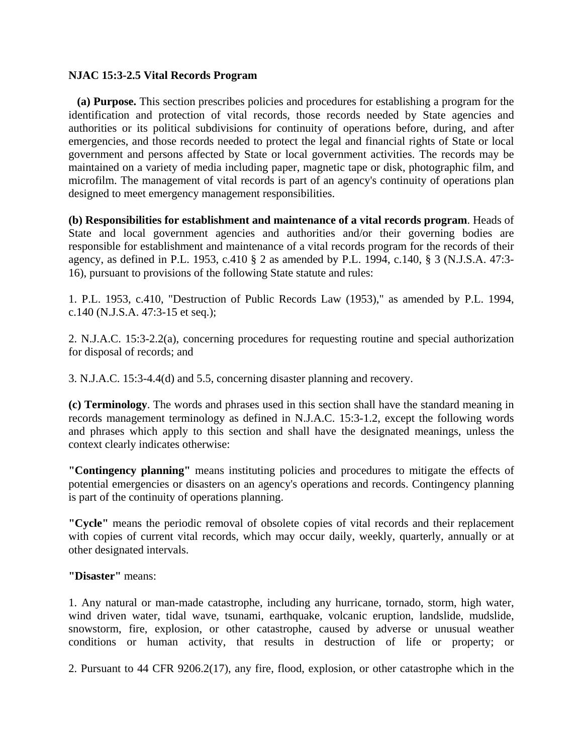## **NJAC 15:3-2.5 Vital Records Program**

 **(a) Purpose.** This section prescribes policies and procedures for establishing a program for the identification and protection of vital records, those records needed by State agencies and authorities or its political subdivisions for continuity of operations before, during, and after emergencies, and those records needed to protect the legal and financial rights of State or local government and persons affected by State or local government activities. The records may be maintained on a variety of media including paper, magnetic tape or disk, photographic film, and microfilm. The management of vital records is part of an agency's continuity of operations plan designed to meet emergency management responsibilities.

**(b) Responsibilities for establishment and maintenance of a vital records program**. Heads of State and local government agencies and authorities and/or their governing bodies are responsible for establishment and maintenance of a vital records program for the records of their agency, as defined in P.L. 1953, c.410 § 2 as amended by P.L. 1994, c.140, § 3 (N.J.S.A. 47:3- 16), pursuant to provisions of the following State statute and rules:

1. P.L. 1953, c.410, "Destruction of Public Records Law (1953)," as amended by P.L. 1994, c.140 (N.J.S.A. 47:3-15 et seq.);

2. N.J.A.C. 15:3-2.2(a), concerning procedures for requesting routine and special authorization for disposal of records; and

3. N.J.A.C. 15:3-4.4(d) and 5.5, concerning disaster planning and recovery.

**(c) Terminology**. The words and phrases used in this section shall have the standard meaning in records management terminology as defined in N.J.A.C. 15:3-1.2, except the following words and phrases which apply to this section and shall have the designated meanings, unless the context clearly indicates otherwise:

**"Contingency planning"** means instituting policies and procedures to mitigate the effects of potential emergencies or disasters on an agency's operations and records. Contingency planning is part of the continuity of operations planning.

**"Cycle"** means the periodic removal of obsolete copies of vital records and their replacement with copies of current vital records, which may occur daily, weekly, quarterly, annually or at other designated intervals.

**"Disaster"** means:

1. Any natural or man-made catastrophe, including any hurricane, tornado, storm, high water, wind driven water, tidal wave, tsunami, earthquake, volcanic eruption, landslide, mudslide, snowstorm, fire, explosion, or other catastrophe, caused by adverse or unusual weather conditions or human activity, that results in destruction of life or property; or

2. Pursuant to 44 CFR 9206.2(17), any fire, flood, explosion, or other catastrophe which in the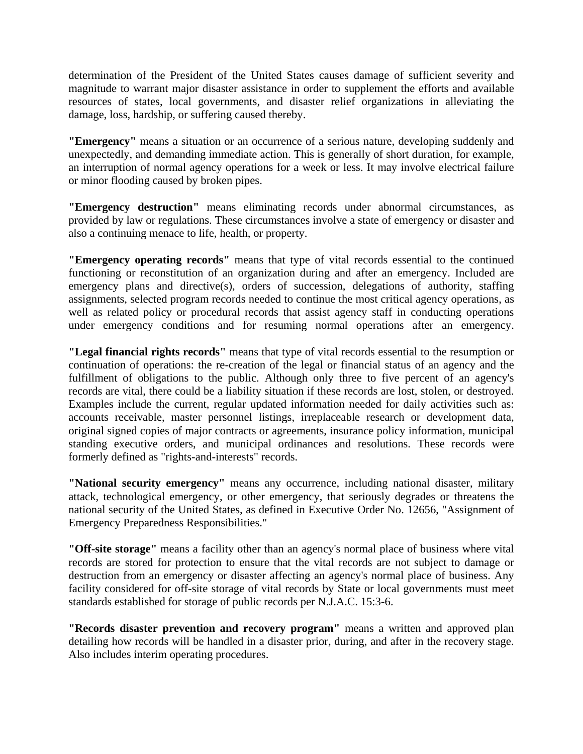determination of the President of the United States causes damage of sufficient severity and magnitude to warrant major disaster assistance in order to supplement the efforts and available resources of states, local governments, and disaster relief organizations in alleviating the damage, loss, hardship, or suffering caused thereby.

**"Emergency"** means a situation or an occurrence of a serious nature, developing suddenly and unexpectedly, and demanding immediate action. This is generally of short duration, for example, an interruption of normal agency operations for a week or less. It may involve electrical failure or minor flooding caused by broken pipes.

**"Emergency destruction"** means eliminating records under abnormal circumstances, as provided by law or regulations. These circumstances involve a state of emergency or disaster and also a continuing menace to life, health, or property.

**"Emergency operating records"** means that type of vital records essential to the continued functioning or reconstitution of an organization during and after an emergency. Included are emergency plans and directive(s), orders of succession, delegations of authority, staffing assignments, selected program records needed to continue the most critical agency operations, as well as related policy or procedural records that assist agency staff in conducting operations under emergency conditions and for resuming normal operations after an emergency.

**"Legal financial rights records"** means that type of vital records essential to the resumption or continuation of operations: the re-creation of the legal or financial status of an agency and the fulfillment of obligations to the public. Although only three to five percent of an agency's records are vital, there could be a liability situation if these records are lost, stolen, or destroyed. Examples include the current, regular updated information needed for daily activities such as: accounts receivable, master personnel listings, irreplaceable research or development data, original signed copies of major contracts or agreements, insurance policy information, municipal standing executive orders, and municipal ordinances and resolutions. These records were formerly defined as "rights-and-interests" records.

**"National security emergency"** means any occurrence, including national disaster, military attack, technological emergency, or other emergency, that seriously degrades or threatens the national security of the United States, as defined in Executive Order No. 12656, "Assignment of Emergency Preparedness Responsibilities."

**"Off-site storage"** means a facility other than an agency's normal place of business where vital records are stored for protection to ensure that the vital records are not subject to damage or destruction from an emergency or disaster affecting an agency's normal place of business. Any facility considered for off-site storage of vital records by State or local governments must meet standards established for storage of public records per N.J.A.C. 15:3-6.

**"Records disaster prevention and recovery program"** means a written and approved plan detailing how records will be handled in a disaster prior, during, and after in the recovery stage. Also includes interim operating procedures.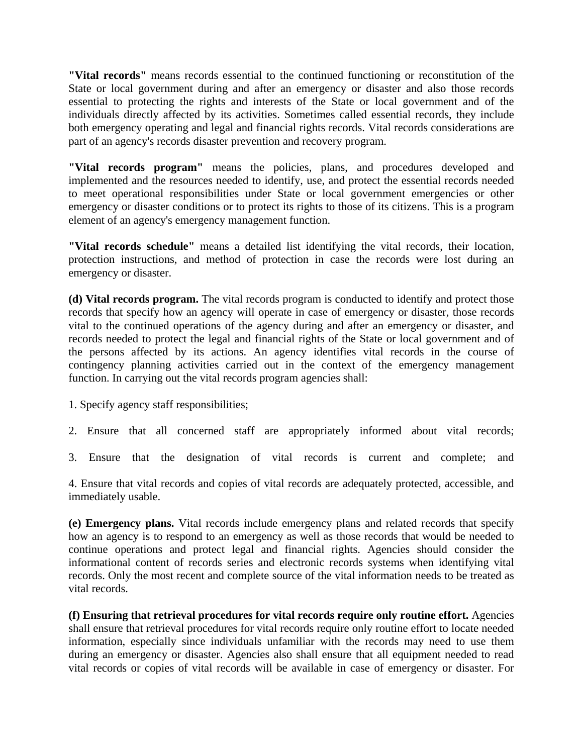**"Vital records"** means records essential to the continued functioning or reconstitution of the State or local government during and after an emergency or disaster and also those records essential to protecting the rights and interests of the State or local government and of the individuals directly affected by its activities. Sometimes called essential records, they include both emergency operating and legal and financial rights records. Vital records considerations are part of an agency's records disaster prevention and recovery program.

**"Vital records program"** means the policies, plans, and procedures developed and implemented and the resources needed to identify, use, and protect the essential records needed to meet operational responsibilities under State or local government emergencies or other emergency or disaster conditions or to protect its rights to those of its citizens. This is a program element of an agency's emergency management function.

**"Vital records schedule"** means a detailed list identifying the vital records, their location, protection instructions, and method of protection in case the records were lost during an emergency or disaster.

**(d) Vital records program.** The vital records program is conducted to identify and protect those records that specify how an agency will operate in case of emergency or disaster, those records vital to the continued operations of the agency during and after an emergency or disaster, and records needed to protect the legal and financial rights of the State or local government and of the persons affected by its actions. An agency identifies vital records in the course of contingency planning activities carried out in the context of the emergency management function. In carrying out the vital records program agencies shall:

1. Specify agency staff responsibilities;

- 2. Ensure that all concerned staff are appropriately informed about vital records;
- 3. Ensure that the designation of vital records is current and complete; and

4. Ensure that vital records and copies of vital records are adequately protected, accessible, and immediately usable.

**(e) Emergency plans.** Vital records include emergency plans and related records that specify how an agency is to respond to an emergency as well as those records that would be needed to continue operations and protect legal and financial rights. Agencies should consider the informational content of records series and electronic records systems when identifying vital records. Only the most recent and complete source of the vital information needs to be treated as vital records.

**(f) Ensuring that retrieval procedures for vital records require only routine effort.** Agencies shall ensure that retrieval procedures for vital records require only routine effort to locate needed information, especially since individuals unfamiliar with the records may need to use them during an emergency or disaster. Agencies also shall ensure that all equipment needed to read vital records or copies of vital records will be available in case of emergency or disaster. For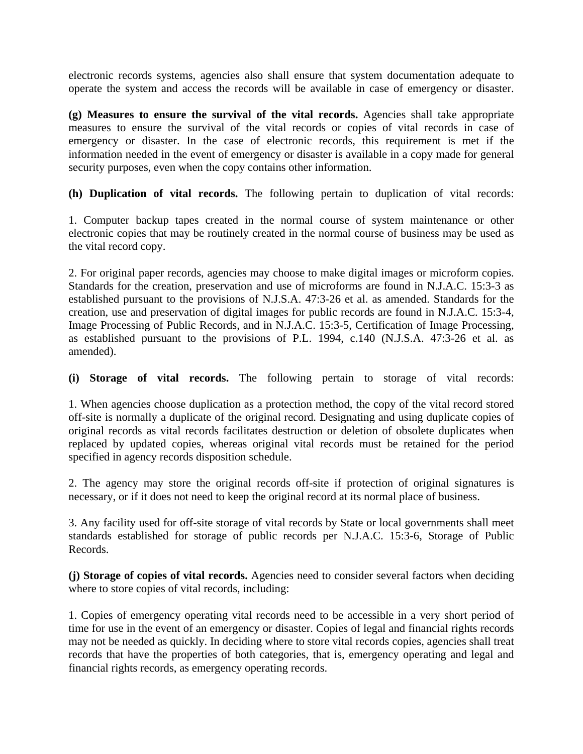electronic records systems, agencies also shall ensure that system documentation adequate to operate the system and access the records will be available in case of emergency or disaster.

**(g) Measures to ensure the survival of the vital records.** Agencies shall take appropriate measures to ensure the survival of the vital records or copies of vital records in case of emergency or disaster. In the case of electronic records, this requirement is met if the information needed in the event of emergency or disaster is available in a copy made for general security purposes, even when the copy contains other information.

**(h) Duplication of vital records.** The following pertain to duplication of vital records:

1. Computer backup tapes created in the normal course of system maintenance or other electronic copies that may be routinely created in the normal course of business may be used as the vital record copy.

2. For original paper records, agencies may choose to make digital images or microform copies. Standards for the creation, preservation and use of microforms are found in N.J.A.C. 15:3-3 as established pursuant to the provisions of N.J.S.A. 47:3-26 et al. as amended. Standards for the creation, use and preservation of digital images for public records are found in N.J.A.C. 15:3-4, Image Processing of Public Records, and in N.J.A.C. 15:3-5, Certification of Image Processing, as established pursuant to the provisions of P.L. 1994, c.140 (N.J.S.A. 47:3-26 et al. as amended).

**(i) Storage of vital records.** The following pertain to storage of vital records:

1. When agencies choose duplication as a protection method, the copy of the vital record stored off-site is normally a duplicate of the original record. Designating and using duplicate copies of original records as vital records facilitates destruction or deletion of obsolete duplicates when replaced by updated copies, whereas original vital records must be retained for the period specified in agency records disposition schedule.

2. The agency may store the original records off-site if protection of original signatures is necessary, or if it does not need to keep the original record at its normal place of business.

3. Any facility used for off-site storage of vital records by State or local governments shall meet standards established for storage of public records per N.J.A.C. 15:3-6, Storage of Public Records.

**(j) Storage of copies of vital records.** Agencies need to consider several factors when deciding where to store copies of vital records, including:

1. Copies of emergency operating vital records need to be accessible in a very short period of time for use in the event of an emergency or disaster. Copies of legal and financial rights records may not be needed as quickly. In deciding where to store vital records copies, agencies shall treat records that have the properties of both categories, that is, emergency operating and legal and financial rights records, as emergency operating records.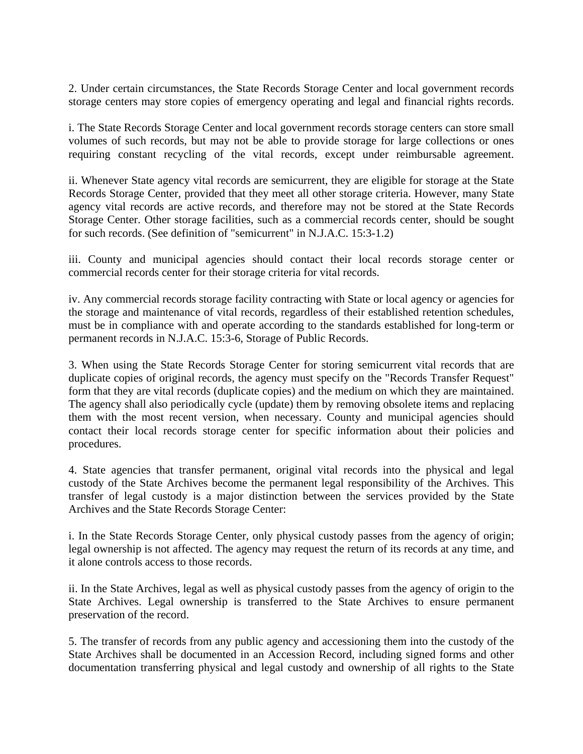2. Under certain circumstances, the State Records Storage Center and local government records storage centers may store copies of emergency operating and legal and financial rights records.

i. The State Records Storage Center and local government records storage centers can store small volumes of such records, but may not be able to provide storage for large collections or ones requiring constant recycling of the vital records, except under reimbursable agreement.

ii. Whenever State agency vital records are semicurrent, they are eligible for storage at the State Records Storage Center, provided that they meet all other storage criteria. However, many State agency vital records are active records, and therefore may not be stored at the State Records Storage Center. Other storage facilities, such as a commercial records center, should be sought for such records. (See definition of "semicurrent" in N.J.A.C. 15:3-1.2)

iii. County and municipal agencies should contact their local records storage center or commercial records center for their storage criteria for vital records.

iv. Any commercial records storage facility contracting with State or local agency or agencies for the storage and maintenance of vital records, regardless of their established retention schedules, must be in compliance with and operate according to the standards established for long-term or permanent records in N.J.A.C. 15:3-6, Storage of Public Records.

3. When using the State Records Storage Center for storing semicurrent vital records that are duplicate copies of original records, the agency must specify on the "Records Transfer Request" form that they are vital records (duplicate copies) and the medium on which they are maintained. The agency shall also periodically cycle (update) them by removing obsolete items and replacing them with the most recent version, when necessary. County and municipal agencies should contact their local records storage center for specific information about their policies and procedures.

4. State agencies that transfer permanent, original vital records into the physical and legal custody of the State Archives become the permanent legal responsibility of the Archives. This transfer of legal custody is a major distinction between the services provided by the State Archives and the State Records Storage Center:

i. In the State Records Storage Center, only physical custody passes from the agency of origin; legal ownership is not affected. The agency may request the return of its records at any time, and it alone controls access to those records.

ii. In the State Archives, legal as well as physical custody passes from the agency of origin to the State Archives. Legal ownership is transferred to the State Archives to ensure permanent preservation of the record.

5. The transfer of records from any public agency and accessioning them into the custody of the State Archives shall be documented in an Accession Record, including signed forms and other documentation transferring physical and legal custody and ownership of all rights to the State